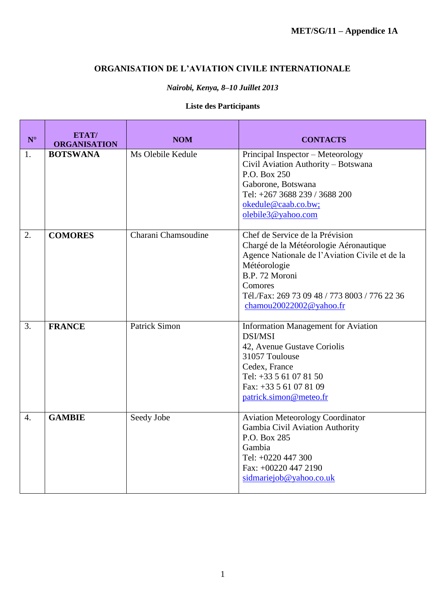### **ORGANISATION DE L'AVIATION CIVILE INTERNATIONALE**

### *Nairobi, Kenya, 8–10 Juillet 2013*

### **Liste des Participants**

| $N^{\circ}$      | ETAT/<br><b>ORGANISATION</b> | <b>NOM</b>           | <b>CONTACTS</b>                                                                                                                                                                                                                                      |
|------------------|------------------------------|----------------------|------------------------------------------------------------------------------------------------------------------------------------------------------------------------------------------------------------------------------------------------------|
| 1.               | <b>BOTSWANA</b>              | Ms Olebile Kedule    | Principal Inspector - Meteorology<br>Civil Aviation Authority - Botswana<br>P.O. Box 250<br>Gaborone, Botswana<br>Tel: +267 3688 239 / 3688 200<br>okedule@caab.co.bw;<br>olebile3@yahoo.com                                                         |
| 2.               | <b>COMORES</b>               | Charani Chamsoudine  | Chef de Service de la Prévision<br>Chargé de la Météorologie Aéronautique<br>Agence Nationale de l'Aviation Civile et de la<br>Météorologie<br>B.P. 72 Moroni<br>Comores<br>Tél./Fax: 269 73 09 48 / 773 8003 / 776 22 36<br>chamou20022002@yahoo.fr |
| 3.               | <b>FRANCE</b>                | <b>Patrick Simon</b> | <b>Information Management for Aviation</b><br><b>DSI/MSI</b><br>42, Avenue Gustave Coriolis<br>31057 Toulouse<br>Cedex, France<br>Tel: $+33561078150$<br>Fax: $+33561078109$<br>patrick.simon@meteo.fr                                               |
| $\overline{4}$ . | <b>GAMBIE</b>                | Seedy Jobe           | <b>Aviation Meteorology Coordinator</b><br>Gambia Civil Aviation Authority<br>P.O. Box 285<br>Gambia<br>Tel: +0220 447 300<br>Fax: +00220 447 2190<br>sidmariejob@yahoo.co.uk                                                                        |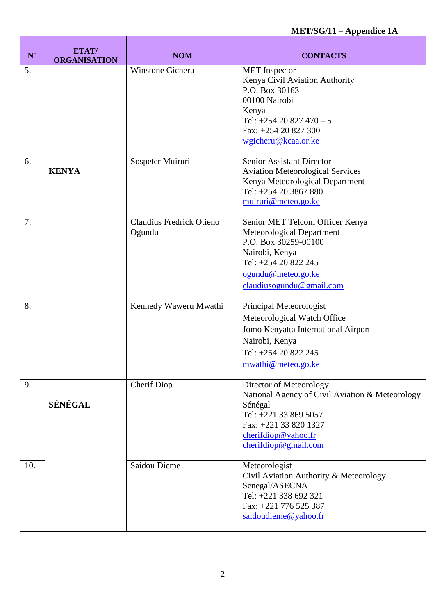# **MET/SG/11 – Appendice 1A**

| $\mathbf{N}^{\circ}$ | ETAT/<br><b>ORGANISATION</b> | <b>NOM</b>                         | <b>CONTACTS</b>                                                                                                                                                                              |
|----------------------|------------------------------|------------------------------------|----------------------------------------------------------------------------------------------------------------------------------------------------------------------------------------------|
| 5.                   |                              | Winstone Gicheru                   | <b>MET</b> Inspector<br>Kenya Civil Aviation Authority<br>P.O. Box 30163<br>00100 Nairobi<br>Kenya<br>Tel: $+25420827470 - 5$<br>Fax: +254 20 827 300<br>wgicheru@kcaa.or.ke                 |
| 6.                   | <b>KENYA</b>                 | Sospeter Muiruri                   | <b>Senior Assistant Director</b><br><b>Aviation Meteorological Services</b><br>Kenya Meteorological Department<br>Tel: +254 20 3867 880<br>muiruri@meteo.go.ke                               |
| 7.                   |                              | Claudius Fredrick Otieno<br>Ogundu | Senior MET Telcom Officer Kenya<br>Meteorological Department<br>P.O. Box 30259-00100<br>Nairobi, Kenya<br>Tel: +254 20 822 245<br>ogundu@meteo.go.ke<br>claudiusogundu@gmail.com             |
| 8.                   |                              | Kennedy Waweru Mwathi              | Principal Meteorologist<br>Meteorological Watch Office<br>Jomo Kenyatta International Airport<br>Nairobi, Kenya<br>Tel: +254 20 822 245<br>mwathi@meteo.go.ke                                |
| 9.                   | SÉNÉGAL                      | Cherif Diop                        | Director of Meteorology<br>National Agency of Civil Aviation & Meteorology<br>Sénégal<br>Tel: +221 33 869 5057<br>Fax: +221 33 820 1327<br>cherif diop@yahoo.fr<br>$cherifd \omegagmail.com$ |
| 10.                  |                              | Saidou Dieme                       | Meteorologist<br>Civil Aviation Authority & Meteorology<br>Senegal/ASECNA<br>Tel: +221 338 692 321<br>Fax: +221 776 525 387<br>saidoudieme@yahoo.fr                                          |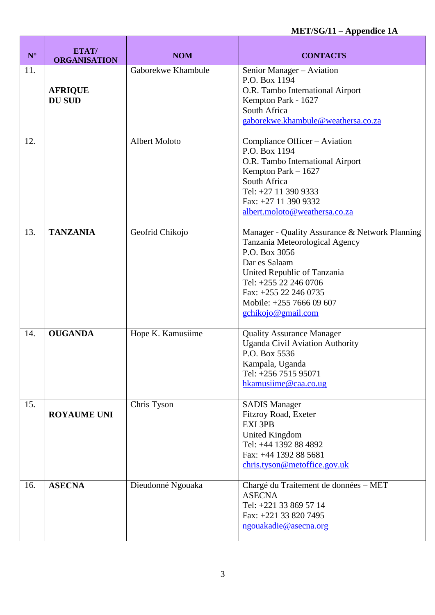# **MET/SG/11 – Appendice 1A**

ń

| $\mathbf{N}^{\circ}$ | ETAT/<br><b>ORGANISATION</b>    | <b>NOM</b>           | <b>CONTACTS</b>                                                                                                                                                                                                                                       |
|----------------------|---------------------------------|----------------------|-------------------------------------------------------------------------------------------------------------------------------------------------------------------------------------------------------------------------------------------------------|
| 11.                  | <b>AFRIQUE</b><br><b>DU SUD</b> | Gaborekwe Khambule   | Senior Manager - Aviation<br>P.O. Box 1194<br>O.R. Tambo International Airport<br>Kempton Park - 1627<br>South Africa<br>gaborekwe.khambule@weathersa.co.za                                                                                           |
| 12.                  |                                 | <b>Albert Moloto</b> | Compliance Officer - Aviation<br>P.O. Box 1194<br>O.R. Tambo International Airport<br>Kempton Park $-1627$<br>South Africa<br>Tel: +27 11 390 9333<br>Fax: +27 11 390 9332<br>albert.moloto@weathersa.co.za                                           |
| 13.                  | <b>TANZANIA</b>                 | Geofrid Chikojo      | Manager - Quality Assurance & Network Planning<br>Tanzania Meteorological Agency<br>P.O. Box 3056<br>Dar es Salaam<br>United Republic of Tanzania<br>Tel: +255 22 246 0706<br>Fax: +255 22 246 0735<br>Mobile: +255 7666 09 607<br>gchikojo@gmail.com |
| 14.                  | <b>OUGANDA</b>                  | Hope K. Kamusiime    | <b>Quality Assurance Manager</b><br><b>Uganda Civil Aviation Authority</b><br>P.O. Box 5536<br>Kampala, Uganda<br>Tel: +256 7515 95071<br>hkamusiime@caa.co.ug                                                                                        |
| 15.                  | <b>ROYAUME UNI</b>              | Chris Tyson          | <b>SADIS Manager</b><br>Fitzroy Road, Exeter<br>EXI 3PB<br><b>United Kingdom</b><br>Tel: +44 1392 88 4892<br>Fax: +44 1392 88 5681<br>chris.tyson@metoffice.gov.uk                                                                                    |
| 16.                  | <b>ASECNA</b>                   | Dieudonné Ngouaka    | Chargé du Traitement de données - MET<br><b>ASECNA</b><br>Tel: +221 33 869 57 14<br>Fax: +221 33 820 7495<br>ngouakadie@asecna.org                                                                                                                    |

 $\blacksquare$ 

T

T